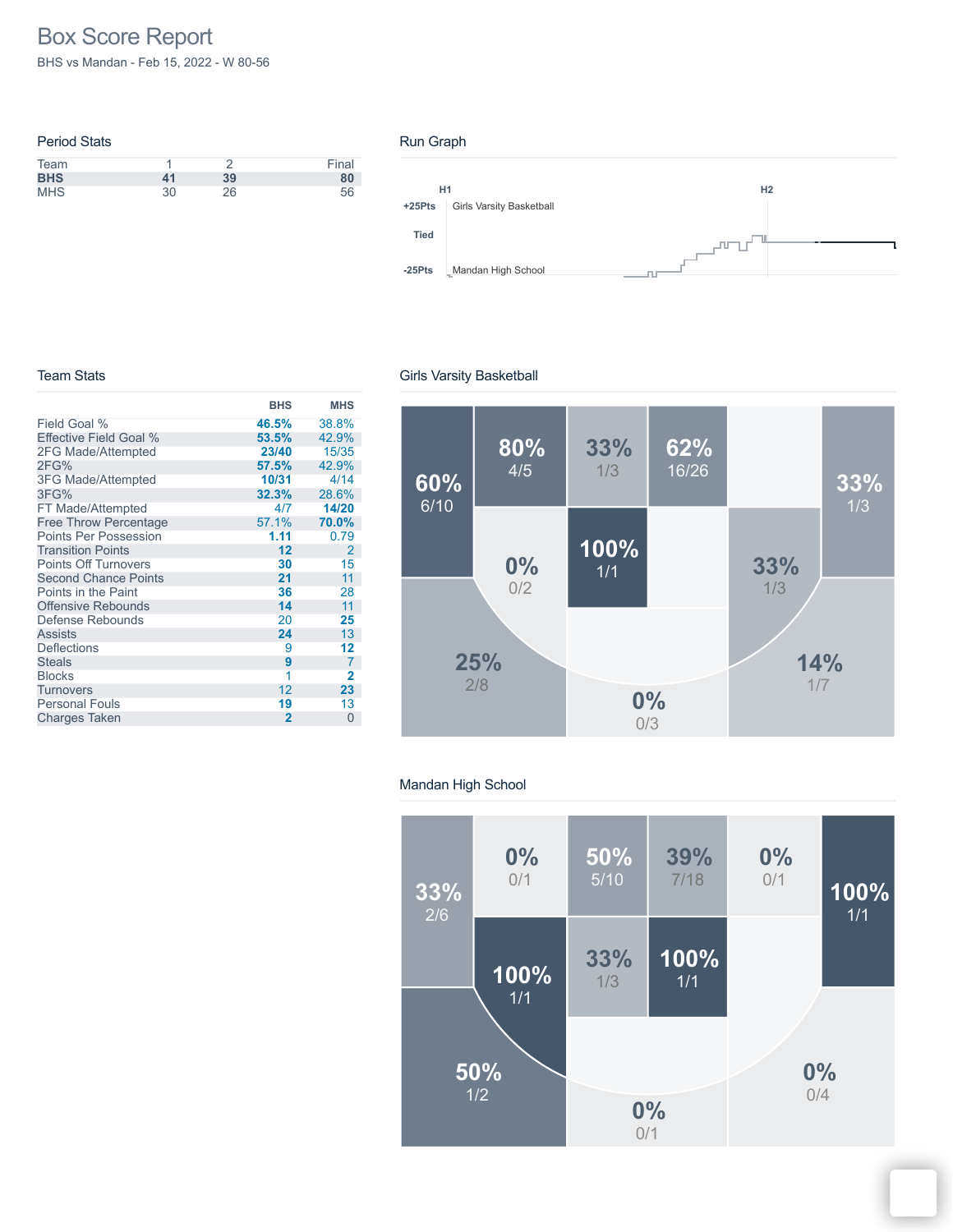# Box Score Report

BHS vs Mandan - Feb 15, 2022 - W 80-56

| <b>Period Stats</b> |    |    |       |
|---------------------|----|----|-------|
| Team                |    |    | Final |
| <b>BHS</b>          | 41 | 39 | 80    |
| <b>MHS</b>          | 30 | 26 | 56    |

#### Run Graph



#### Team Stats

|                               | <b>BHS</b>     | <b>MHS</b>     |
|-------------------------------|----------------|----------------|
| Field Goal %                  | 46.5%          | 38.8%          |
| <b>Effective Field Goal %</b> | 53.5%          | 42.9%          |
| 2FG Made/Attempted            | 23/40          | 15/35          |
| 2FG%                          | 57.5%          | 42.9%          |
| <b>3FG Made/Attempted</b>     | 10/31          | 4/14           |
| 3FG%                          | 32.3%          | 28.6%          |
| FT Made/Attempted             | 4/7            | 14/20          |
| <b>Free Throw Percentage</b>  | 57.1%          | 70.0%          |
| <b>Points Per Possession</b>  | 1.11           | 0.79           |
| <b>Transition Points</b>      | 12             | 2              |
| <b>Points Off Turnovers</b>   | 30             | 15             |
| <b>Second Chance Points</b>   | 21             | 11             |
| Points in the Paint           | 36             | 28             |
| <b>Offensive Rebounds</b>     | 14             | 11             |
| Defense Rebounds              | 20             | 25             |
| <b>Assists</b>                | 24             | 13             |
| <b>Deflections</b>            | 9              | 12             |
| <b>Steals</b>                 | 9              | $\overline{7}$ |
| <b>Blocks</b>                 | 1              | $\overline{2}$ |
| Turnovers                     | 12             | 23             |
| <b>Personal Fouls</b>         | 19             | 13             |
| <b>Charges Taken</b>          | $\overline{2}$ | $\Omega$       |

## Girls Varsity Basketball



## Mandan High School